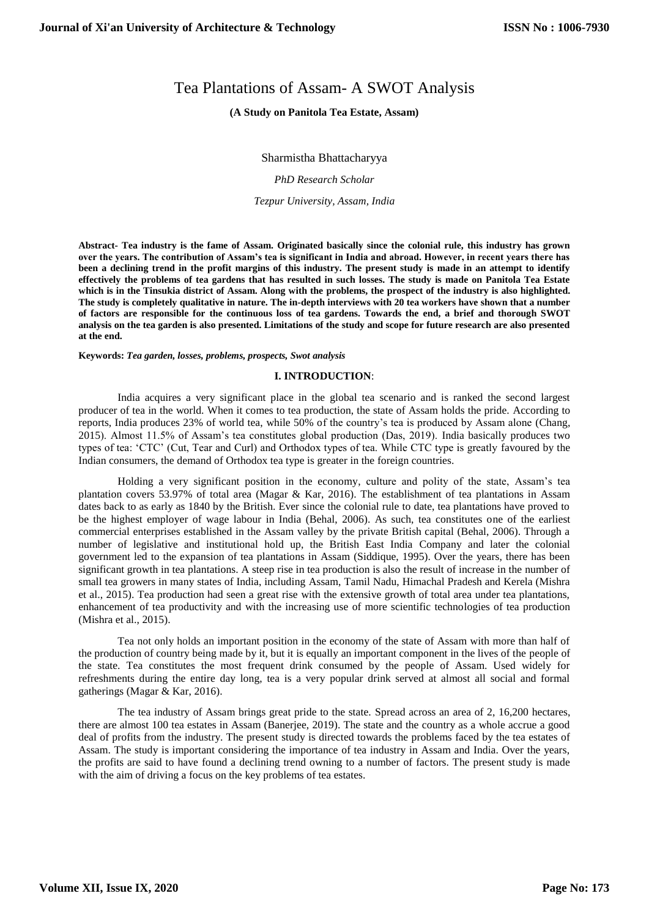# Tea Plantations of Assam- A SWOT Analysis

# **(A Study on Panitola Tea Estate, Assam)**

Sharmistha Bhattacharyya

*PhD Research Scholar*

*Tezpur University, Assam, India*

**Abstract- Tea industry is the fame of Assam. Originated basically since the colonial rule, this industry has grown over the years. The contribution of Assam's tea is significant in India and abroad. However, in recent years there has been a declining trend in the profit margins of this industry. The present study is made in an attempt to identify effectively the problems of tea gardens that has resulted in such losses. The study is made on Panitola Tea Estate which is in the Tinsukia district of Assam. Along with the problems, the prospect of the industry is also highlighted. The study is completely qualitative in nature. The in-depth interviews with 20 tea workers have shown that a number of factors are responsible for the continuous loss of tea gardens. Towards the end, a brief and thorough SWOT analysis on the tea garden is also presented. Limitations of the study and scope for future research are also presented at the end.**

**Keywords:** *Tea garden, losses, problems, prospects, Swot analysis*

## **I. INTRODUCTION**:

India acquires a very significant place in the global tea scenario and is ranked the second largest producer of tea in the world. When it comes to tea production, the state of Assam holds the pride. According to reports, India produces 23% of world tea, while 50% of the country's tea is produced by Assam alone (Chang, 2015). Almost 11.5% of Assam's tea constitutes global production (Das, 2019). India basically produces two types of tea: 'CTC' (Cut, Tear and Curl) and Orthodox types of tea. While CTC type is greatly favoured by the Indian consumers, the demand of Orthodox tea type is greater in the foreign countries.

Holding a very significant position in the economy, culture and polity of the state, Assam's tea plantation covers 53.97% of total area (Magar & Kar, 2016). The establishment of tea plantations in Assam dates back to as early as 1840 by the British. Ever since the colonial rule to date, tea plantations have proved to be the highest employer of wage labour in India (Behal, 2006). As such, tea constitutes one of the earliest commercial enterprises established in the Assam valley by the private British capital (Behal, 2006). Through a number of legislative and institutional hold up, the British East India Company and later the colonial government led to the expansion of tea plantations in Assam (Siddique, 1995). Over the years, there has been significant growth in tea plantations. A steep rise in tea production is also the result of increase in the number of small tea growers in many states of India, including Assam, Tamil Nadu, Himachal Pradesh and Kerela (Mishra et al., 2015). Tea production had seen a great rise with the extensive growth of total area under tea plantations, enhancement of tea productivity and with the increasing use of more scientific technologies of tea production (Mishra et al., 2015).

Tea not only holds an important position in the economy of the state of Assam with more than half of the production of country being made by it, but it is equally an important component in the lives of the people of the state. Tea constitutes the most frequent drink consumed by the people of Assam. Used widely for refreshments during the entire day long, tea is a very popular drink served at almost all social and formal gatherings (Magar & Kar, 2016).

The tea industry of Assam brings great pride to the state. Spread across an area of 2, 16,200 hectares, there are almost 100 tea estates in Assam (Banerjee, 2019). The state and the country as a whole accrue a good deal of profits from the industry. The present study is directed towards the problems faced by the tea estates of Assam. The study is important considering the importance of tea industry in Assam and India. Over the years, the profits are said to have found a declining trend owning to a number of factors. The present study is made with the aim of driving a focus on the key problems of tea estates.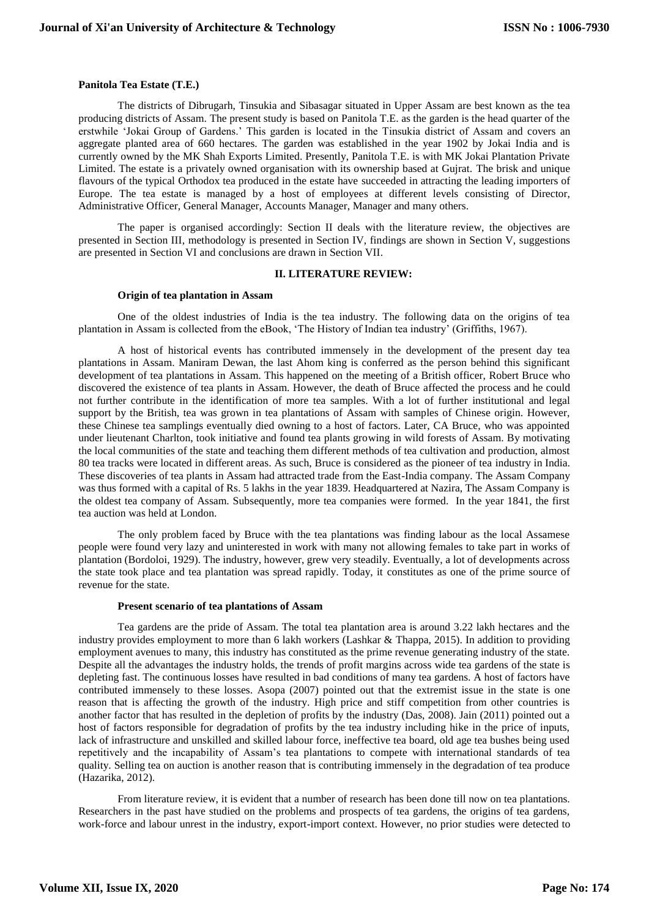### **Panitola Tea Estate (T.E.)**

The districts of Dibrugarh, Tinsukia and Sibasagar situated in Upper Assam are best known as the tea producing districts of Assam. The present study is based on Panitola T.E. as the garden is the head quarter of the erstwhile 'Jokai Group of Gardens.' This garden is located in the Tinsukia district of Assam and covers an aggregate planted area of 660 hectares. The garden was established in the year 1902 by Jokai India and is currently owned by the MK Shah Exports Limited. Presently, Panitola T.E. is with MK Jokai Plantation Private Limited. The estate is a privately owned organisation with its ownership based at Gujrat. The brisk and unique flavours of the typical Orthodox tea produced in the estate have succeeded in attracting the leading importers of Europe. The tea estate is managed by a host of employees at different levels consisting of Director, Administrative Officer, General Manager, Accounts Manager, Manager and many others.

The paper is organised accordingly: Section II deals with the literature review, the objectives are presented in Section III, methodology is presented in Section IV, findings are shown in Section V, suggestions are presented in Section VI and conclusions are drawn in Section VII.

# **II. LITERATURE REVIEW:**

#### **Origin of tea plantation in Assam**

One of the oldest industries of India is the tea industry. The following data on the origins of tea plantation in Assam is collected from the eBook, 'The History of Indian tea industry' (Griffiths, 1967).

A host of historical events has contributed immensely in the development of the present day tea plantations in Assam. Maniram Dewan, the last Ahom king is conferred as the person behind this significant development of tea plantations in Assam. This happened on the meeting of a British officer, Robert Bruce who discovered the existence of tea plants in Assam. However, the death of Bruce affected the process and he could not further contribute in the identification of more tea samples. With a lot of further institutional and legal support by the British, tea was grown in tea plantations of Assam with samples of Chinese origin. However, these Chinese tea samplings eventually died owning to a host of factors. Later, CA Bruce, who was appointed under lieutenant Charlton, took initiative and found tea plants growing in wild forests of Assam. By motivating the local communities of the state and teaching them different methods of tea cultivation and production, almost 80 tea tracks were located in different areas. As such, Bruce is considered as the pioneer of tea industry in India. These discoveries of tea plants in Assam had attracted trade from the East-India company. The Assam Company was thus formed with a capital of Rs. 5 lakhs in the year 1839. Headquartered at Nazira, The Assam Company is the oldest tea company of Assam. Subsequently, more tea companies were formed. In the year 1841, the first tea auction was held at London.

The only problem faced by Bruce with the tea plantations was finding labour as the local Assamese people were found very lazy and uninterested in work with many not allowing females to take part in works of plantation (Bordoloi, 1929). The industry, however, grew very steadily. Eventually, a lot of developments across the state took place and tea plantation was spread rapidly. Today, it constitutes as one of the prime source of revenue for the state.

### **Present scenario of tea plantations of Assam**

Tea gardens are the pride of Assam. The total tea plantation area is around 3.22 lakh hectares and the industry provides employment to more than 6 lakh workers (Lashkar & Thappa, 2015). In addition to providing employment avenues to many, this industry has constituted as the prime revenue generating industry of the state. Despite all the advantages the industry holds, the trends of profit margins across wide tea gardens of the state is depleting fast. The continuous losses have resulted in bad conditions of many tea gardens. A host of factors have contributed immensely to these losses. Asopa (2007) pointed out that the extremist issue in the state is one reason that is affecting the growth of the industry. High price and stiff competition from other countries is another factor that has resulted in the depletion of profits by the industry (Das, 2008). Jain (2011) pointed out a host of factors responsible for degradation of profits by the tea industry including hike in the price of inputs, lack of infrastructure and unskilled and skilled labour force, ineffective tea board, old age tea bushes being used repetitively and the incapability of Assam's tea plantations to compete with international standards of tea quality. Selling tea on auction is another reason that is contributing immensely in the degradation of tea produce (Hazarika, 2012).

From literature review, it is evident that a number of research has been done till now on tea plantations. Researchers in the past have studied on the problems and prospects of tea gardens, the origins of tea gardens, work-force and labour unrest in the industry, export-import context. However, no prior studies were detected to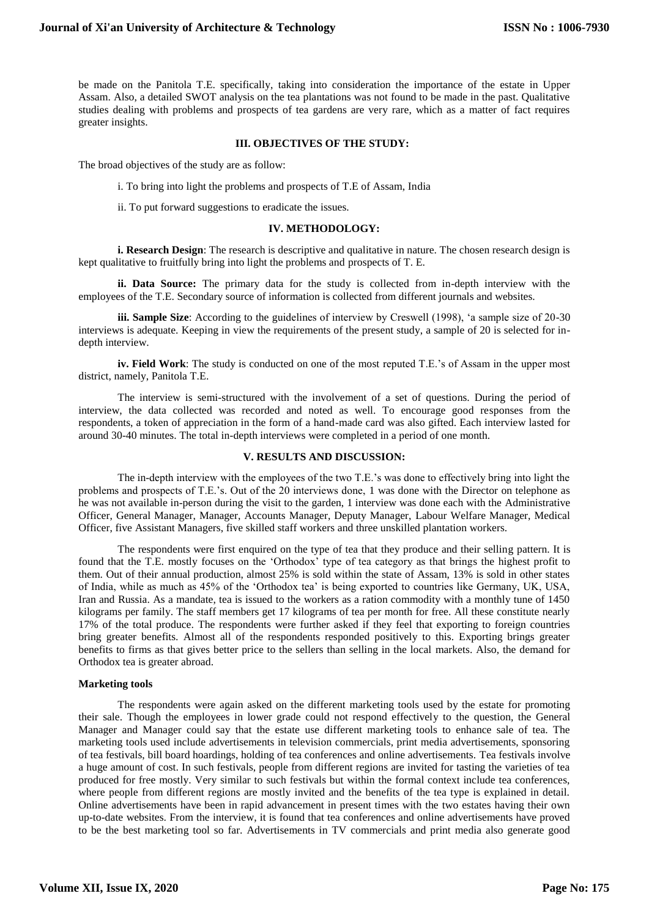be made on the Panitola T.E. specifically, taking into consideration the importance of the estate in Upper Assam. Also, a detailed SWOT analysis on the tea plantations was not found to be made in the past. Qualitative studies dealing with problems and prospects of tea gardens are very rare, which as a matter of fact requires greater insights.

### **III. OBJECTIVES OF THE STUDY:**

The broad objectives of the study are as follow:

- i. To bring into light the problems and prospects of T.E of Assam, India
- ii. To put forward suggestions to eradicate the issues.

### **IV. METHODOLOGY:**

**i. Research Design**: The research is descriptive and qualitative in nature. The chosen research design is kept qualitative to fruitfully bring into light the problems and prospects of T. E.

**ii. Data Source:** The primary data for the study is collected from in-depth interview with the employees of the T.E. Secondary source of information is collected from different journals and websites.

**iii. Sample Size**: According to the guidelines of interview by Creswell (1998), 'a sample size of 20-30 interviews is adequate. Keeping in view the requirements of the present study, a sample of 20 is selected for indepth interview.

**iv. Field Work**: The study is conducted on one of the most reputed T.E.'s of Assam in the upper most district, namely, Panitola T.E.

The interview is semi-structured with the involvement of a set of questions. During the period of interview, the data collected was recorded and noted as well. To encourage good responses from the respondents, a token of appreciation in the form of a hand-made card was also gifted. Each interview lasted for around 30-40 minutes. The total in-depth interviews were completed in a period of one month.

# **V. RESULTS AND DISCUSSION:**

The in-depth interview with the employees of the two T.E.'s was done to effectively bring into light the problems and prospects of T.E.'s. Out of the 20 interviews done, 1 was done with the Director on telephone as he was not available in-person during the visit to the garden, 1 interview was done each with the Administrative Officer, General Manager, Manager, Accounts Manager, Deputy Manager, Labour Welfare Manager, Medical Officer, five Assistant Managers, five skilled staff workers and three unskilled plantation workers.

The respondents were first enquired on the type of tea that they produce and their selling pattern. It is found that the T.E. mostly focuses on the 'Orthodox' type of tea category as that brings the highest profit to them. Out of their annual production, almost 25% is sold within the state of Assam, 13% is sold in other states of India, while as much as 45% of the 'Orthodox tea' is being exported to countries like Germany, UK, USA, Iran and Russia. As a mandate, tea is issued to the workers as a ration commodity with a monthly tune of 1450 kilograms per family. The staff members get 17 kilograms of tea per month for free. All these constitute nearly 17% of the total produce. The respondents were further asked if they feel that exporting to foreign countries bring greater benefits. Almost all of the respondents responded positively to this. Exporting brings greater benefits to firms as that gives better price to the sellers than selling in the local markets. Also, the demand for Orthodox tea is greater abroad.

### **Marketing tools**

The respondents were again asked on the different marketing tools used by the estate for promoting their sale. Though the employees in lower grade could not respond effectively to the question, the General Manager and Manager could say that the estate use different marketing tools to enhance sale of tea. The marketing tools used include advertisements in television commercials, print media advertisements, sponsoring of tea festivals, bill board hoardings, holding of tea conferences and online advertisements. Tea festivals involve a huge amount of cost. In such festivals, people from different regions are invited for tasting the varieties of tea produced for free mostly. Very similar to such festivals but within the formal context include tea conferences, where people from different regions are mostly invited and the benefits of the tea type is explained in detail. Online advertisements have been in rapid advancement in present times with the two estates having their own up-to-date websites. From the interview, it is found that tea conferences and online advertisements have proved to be the best marketing tool so far. Advertisements in TV commercials and print media also generate good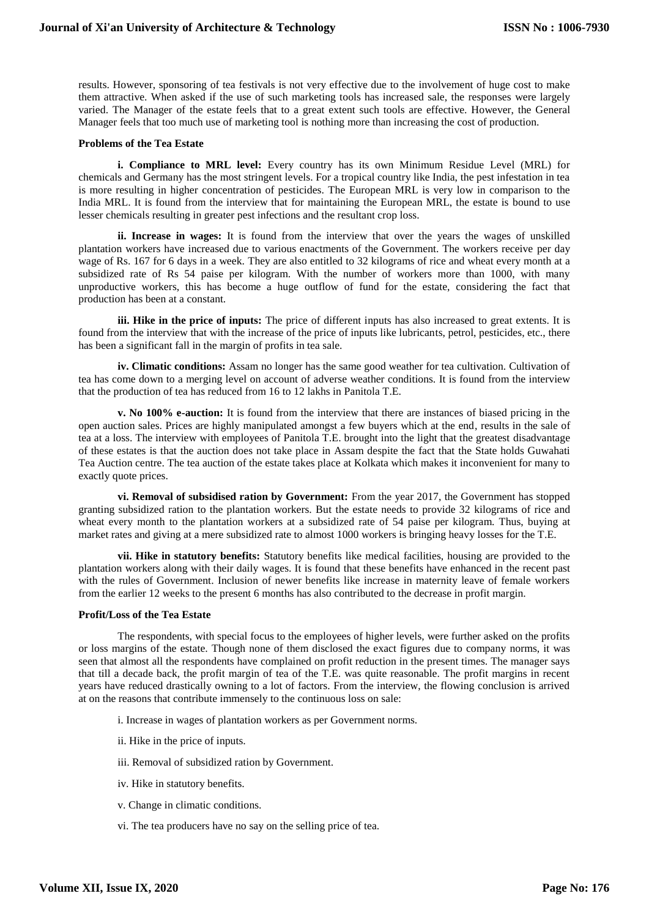results. However, sponsoring of tea festivals is not very effective due to the involvement of huge cost to make them attractive. When asked if the use of such marketing tools has increased sale, the responses were largely varied. The Manager of the estate feels that to a great extent such tools are effective. However, the General Manager feels that too much use of marketing tool is nothing more than increasing the cost of production.

### **Problems of the Tea Estate**

**i. Compliance to MRL level:** Every country has its own Minimum Residue Level (MRL) for chemicals and Germany has the most stringent levels. For a tropical country like India, the pest infestation in tea is more resulting in higher concentration of pesticides. The European MRL is very low in comparison to the India MRL. It is found from the interview that for maintaining the European MRL, the estate is bound to use lesser chemicals resulting in greater pest infections and the resultant crop loss.

**ii. Increase in wages:** It is found from the interview that over the years the wages of unskilled plantation workers have increased due to various enactments of the Government. The workers receive per day wage of Rs. 167 for 6 days in a week. They are also entitled to 32 kilograms of rice and wheat every month at a subsidized rate of Rs 54 paise per kilogram. With the number of workers more than 1000, with many unproductive workers, this has become a huge outflow of fund for the estate, considering the fact that production has been at a constant.

**iii. Hike in the price of inputs:** The price of different inputs has also increased to great extents. It is found from the interview that with the increase of the price of inputs like lubricants, petrol, pesticides, etc., there has been a significant fall in the margin of profits in tea sale.

**iv. Climatic conditions:** Assam no longer has the same good weather for tea cultivation. Cultivation of tea has come down to a merging level on account of adverse weather conditions. It is found from the interview that the production of tea has reduced from 16 to 12 lakhs in Panitola T.E.

**v. No 100% e-auction:** It is found from the interview that there are instances of biased pricing in the open auction sales. Prices are highly manipulated amongst a few buyers which at the end, results in the sale of tea at a loss. The interview with employees of Panitola T.E. brought into the light that the greatest disadvantage of these estates is that the auction does not take place in Assam despite the fact that the State holds Guwahati Tea Auction centre. The tea auction of the estate takes place at Kolkata which makes it inconvenient for many to exactly quote prices.

 **vi. Removal of subsidised ration by Government:** From the year 2017, the Government has stopped granting subsidized ration to the plantation workers. But the estate needs to provide 32 kilograms of rice and wheat every month to the plantation workers at a subsidized rate of 54 paise per kilogram. Thus, buying at market rates and giving at a mere subsidized rate to almost 1000 workers is bringing heavy losses for the T.E.

**vii. Hike in statutory benefits:** Statutory benefits like medical facilities, housing are provided to the plantation workers along with their daily wages. It is found that these benefits have enhanced in the recent past with the rules of Government. Inclusion of newer benefits like increase in maternity leave of female workers from the earlier 12 weeks to the present 6 months has also contributed to the decrease in profit margin.

# **Profit/Loss of the Tea Estate**

The respondents, with special focus to the employees of higher levels, were further asked on the profits or loss margins of the estate. Though none of them disclosed the exact figures due to company norms, it was seen that almost all the respondents have complained on profit reduction in the present times. The manager says that till a decade back, the profit margin of tea of the T.E. was quite reasonable. The profit margins in recent years have reduced drastically owning to a lot of factors. From the interview, the flowing conclusion is arrived at on the reasons that contribute immensely to the continuous loss on sale:

- i. Increase in wages of plantation workers as per Government norms.
- ii. Hike in the price of inputs.
- iii. Removal of subsidized ration by Government.
- iv. Hike in statutory benefits.
- v. Change in climatic conditions.
- vi. The tea producers have no say on the selling price of tea.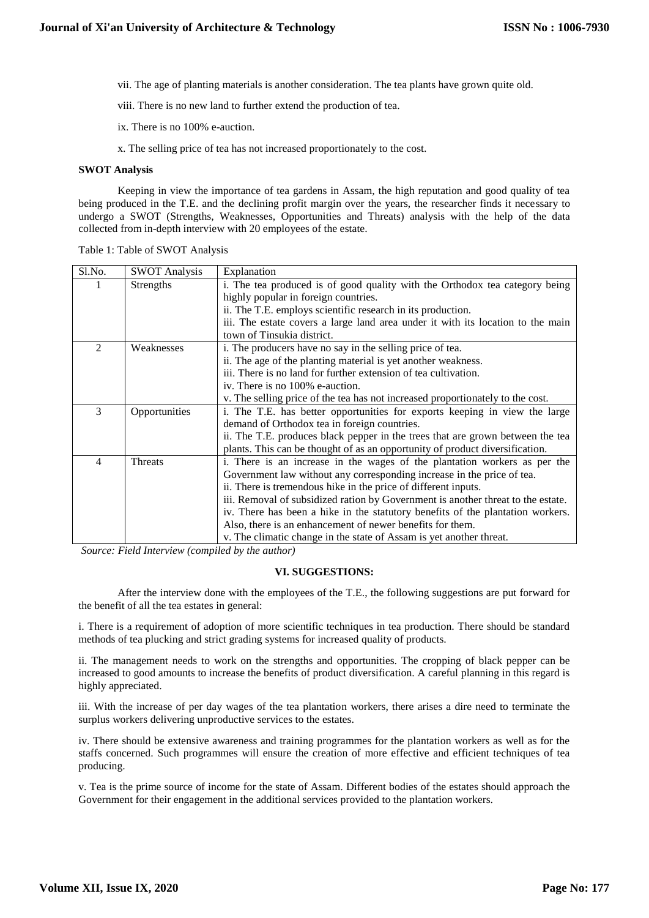vii. The age of planting materials is another consideration. The tea plants have grown quite old.

viii. There is no new land to further extend the production of tea.

ix. There is no 100% e-auction.

x. The selling price of tea has not increased proportionately to the cost.

## **SWOT Analysis**

Keeping in view the importance of tea gardens in Assam, the high reputation and good quality of tea being produced in the T.E. and the declining profit margin over the years, the researcher finds it necessary to undergo a SWOT (Strengths, Weaknesses, Opportunities and Threats) analysis with the help of the data collected from in-depth interview with 20 employees of the estate.

| S1.No. | <b>SWOT Analysis</b> | Explanation                                                                      |
|--------|----------------------|----------------------------------------------------------------------------------|
|        | <b>Strengths</b>     | i. The tea produced is of good quality with the Orthodox tea category being      |
|        |                      | highly popular in foreign countries.                                             |
|        |                      | ii. The T.E. employs scientific research in its production.                      |
|        |                      | iii. The estate covers a large land area under it with its location to the main  |
|        |                      | town of Tinsukia district.                                                       |
| 2      | Weaknesses           | i. The producers have no say in the selling price of tea.                        |
|        |                      | ii. The age of the planting material is yet another weakness.                    |
|        |                      | iii. There is no land for further extension of tea cultivation.                  |
|        |                      | iv. There is no 100% e-auction.                                                  |
|        |                      | v. The selling price of the tea has not increased proportionately to the cost.   |
| 3      | Opportunities        | i. The T.E. has better opportunities for exports keeping in view the large       |
|        |                      | demand of Orthodox tea in foreign countries.                                     |
|        |                      | ii. The T.E. produces black pepper in the trees that are grown between the tea   |
|        |                      | plants. This can be thought of as an opportunity of product diversification.     |
| 4      | Threats              | i. There is an increase in the wages of the plantation workers as per the        |
|        |                      | Government law without any corresponding increase in the price of tea.           |
|        |                      | ii. There is tremendous hike in the price of different inputs.                   |
|        |                      | iii. Removal of subsidized ration by Government is another threat to the estate. |
|        |                      | iv. There has been a hike in the statutory benefits of the plantation workers.   |
|        |                      | Also, there is an enhancement of newer benefits for them.                        |
|        |                      | v. The climatic change in the state of Assam is yet another threat.              |

Table 1: Table of SWOT Analysis

*Source: Field Interview (compiled by the author)*

# **VI. SUGGESTIONS:**

After the interview done with the employees of the T.E., the following suggestions are put forward for the benefit of all the tea estates in general:

i. There is a requirement of adoption of more scientific techniques in tea production. There should be standard methods of tea plucking and strict grading systems for increased quality of products.

ii. The management needs to work on the strengths and opportunities. The cropping of black pepper can be increased to good amounts to increase the benefits of product diversification. A careful planning in this regard is highly appreciated.

iii. With the increase of per day wages of the tea plantation workers, there arises a dire need to terminate the surplus workers delivering unproductive services to the estates.

iv. There should be extensive awareness and training programmes for the plantation workers as well as for the staffs concerned. Such programmes will ensure the creation of more effective and efficient techniques of tea producing.

v. Tea is the prime source of income for the state of Assam. Different bodies of the estates should approach the Government for their engagement in the additional services provided to the plantation workers.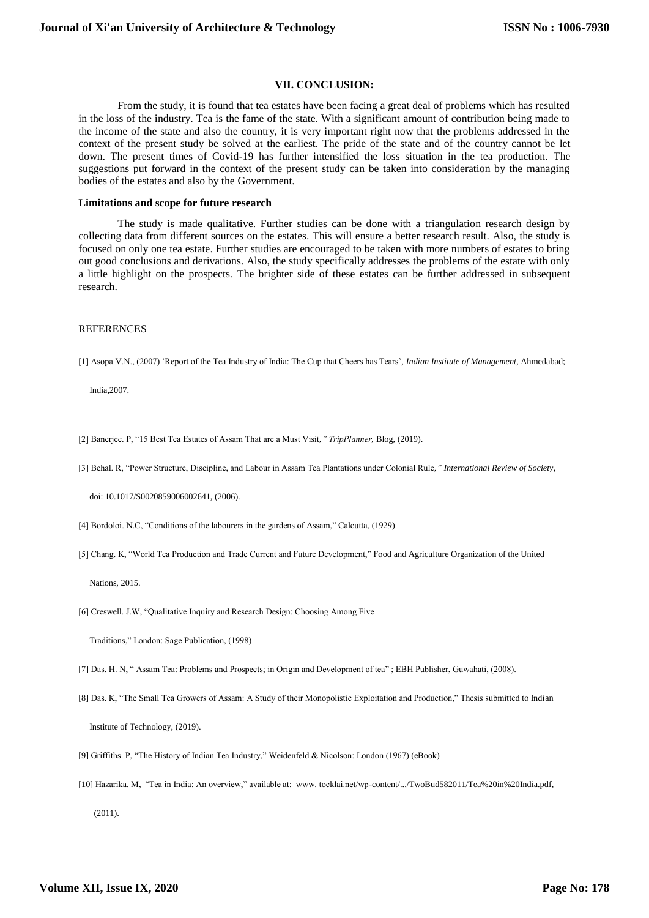### **VII. CONCLUSION:**

From the study, it is found that tea estates have been facing a great deal of problems which has resulted in the loss of the industry. Tea is the fame of the state. With a significant amount of contribution being made to the income of the state and also the country, it is very important right now that the problems addressed in the context of the present study be solved at the earliest. The pride of the state and of the country cannot be let down. The present times of Covid-19 has further intensified the loss situation in the tea production. The suggestions put forward in the context of the present study can be taken into consideration by the managing bodies of the estates and also by the Government.

#### **Limitations and scope for future research**

The study is made qualitative. Further studies can be done with a triangulation research design by collecting data from different sources on the estates. This will ensure a better research result. Also, the study is focused on only one tea estate. Further studies are encouraged to be taken with more numbers of estates to bring out good conclusions and derivations. Also, the study specifically addresses the problems of the estate with only a little highlight on the prospects. The brighter side of these estates can be further addressed in subsequent research.

### **REFERENCES**

[1] Asopa V.N., (2007) 'Report of the Tea Industry of India: The Cup that Cheers has Tears', *Indian Institute of Management*, Ahmedabad;

India,2007.

- [2] Banerjee. P, "15 Best Tea Estates of Assam That are a Must Visit*," TripPlanner,* Blog, (2019).
- [3] Behal. R, "Power Structure, Discipline, and Labour in Assam Tea Plantations under Colonial Rule*," International Review of Society*,

doi: 10.1017/S0020859006002641, (2006).

- [4] Bordoloi. N.C, "Conditions of the labourers in the gardens of Assam," Calcutta, (1929)
- [5] Chang. K, "World Tea Production and Trade Current and Future Development," Food and Agriculture Organization of the United

Nations, 2015.

[6] Creswell. J.W, "Qualitative Inquiry and Research Design: Choosing Among Five

Traditions," London: Sage Publication, (1998)

[7] Das. H. N, " Assam Tea: Problems and Prospects; in Origin and Development of tea" ; EBH Publisher, Guwahati, (2008).

- [8] Das. K, "The Small Tea Growers of Assam: A Study of their Monopolistic Exploitation and Production," Thesis submitted to Indian Institute of Technology, (2019).
- [9] Griffiths. P, "The History of Indian Tea Industry," Weidenfeld & Nicolson: London (1967) (eBook)
- [10] Hazarika. M, "Tea in India: An overview," available at: www. tocklai.net/wp-content/.../TwoBud582011/Tea%20in%20India.pdf, (2011).